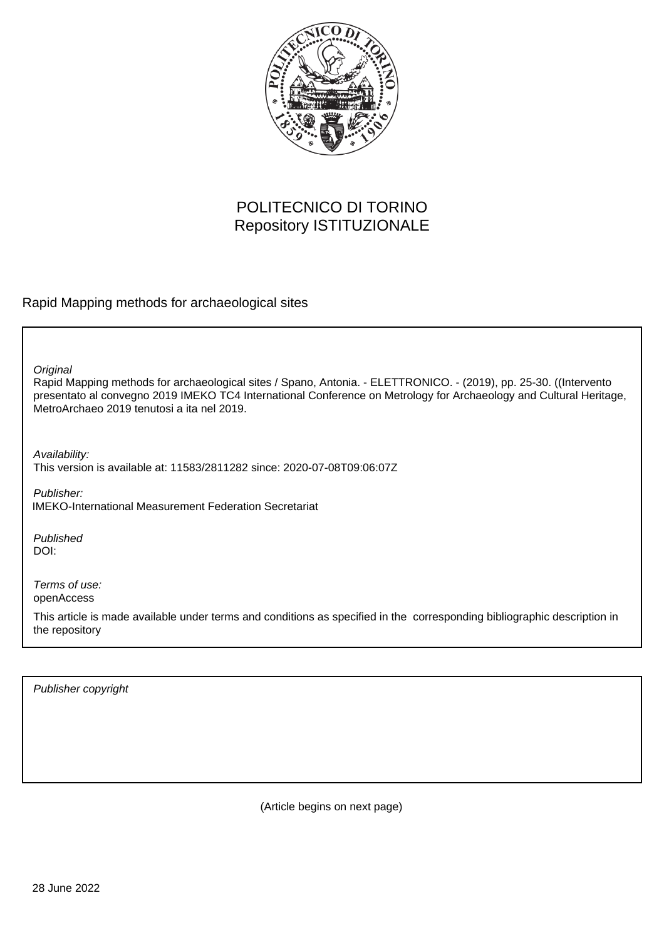

# POLITECNICO DI TORINO Repository ISTITUZIONALE

Rapid Mapping methods for archaeological sites

**Original** 

Rapid Mapping methods for archaeological sites / Spano, Antonia. - ELETTRONICO. - (2019), pp. 25-30. ((Intervento presentato al convegno 2019 IMEKO TC4 International Conference on Metrology for Archaeology and Cultural Heritage, MetroArchaeo 2019 tenutosi a ita nel 2019.

Availability: This version is available at: 11583/2811282 since: 2020-07-08T09:06:07Z

Publisher: IMEKO-International Measurement Federation Secretariat

Published DOI:

Terms of use: openAccess

This article is made available under terms and conditions as specified in the corresponding bibliographic description in the repository

Publisher copyright

(Article begins on next page)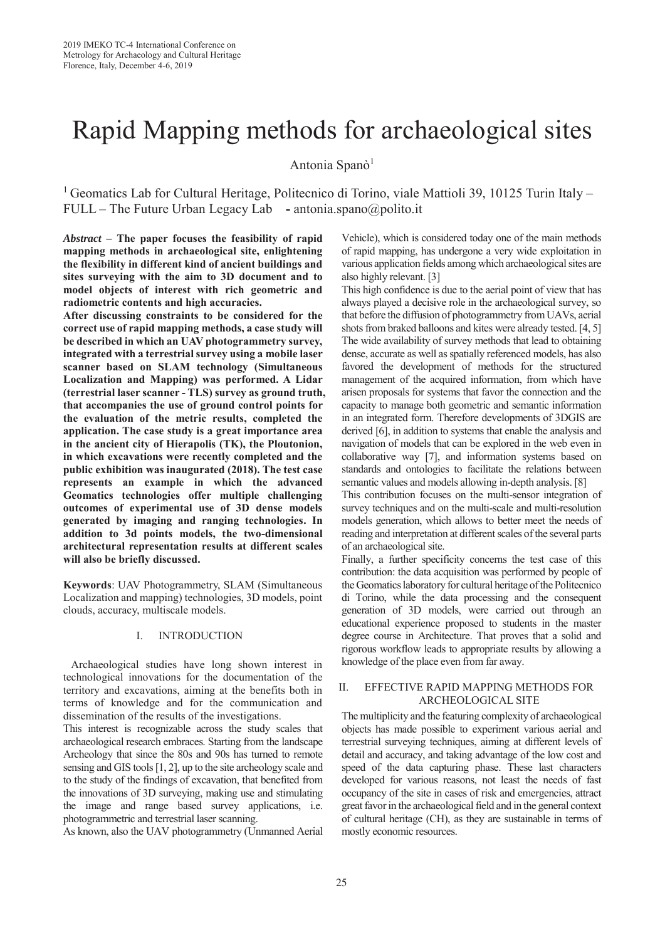# Rapid Mapping methods for archaeological sites

Antonia Spanò<sup>1</sup>

<sup>1</sup> Geomatics Lab for Cultural Heritage, Politecnico di Torino, viale Mattioli 39, 10125 Turin Italy – FULL – The Future Urban Legacy Lab **-** antonia.spano@polito.it

*Abstract* **– The paper focuses the feasibility of rapid mapping methods in archaeological site, enlightening the flexibility in different kind of ancient buildings and sites surveying with the aim to 3D document and to model objects of interest with rich geometric and radiometric contents and high accuracies.**

**After discussing constraints to be considered for the correct use of rapid mapping methods, a case study will be described in which an UAV photogrammetry survey, integrated with a terrestrial survey using a mobile laser scanner based on SLAM technology (Simultaneous Localization and Mapping) was performed. A Lidar (terrestrial laser scanner - TLS) survey as ground truth, that accompanies the use of ground control points for the evaluation of the metric results, completed the application. The case study is a great importance area in the ancient city of Hierapolis (TK), the Ploutonion, in which excavations were recently completed and the public exhibition was inaugurated (2018). The test case represents an example in which the advanced Geomatics technologies offer multiple challenging outcomes of experimental use of 3D dense models generated by imaging and ranging technologies. In addition to 3d points models, the two-dimensional architectural representation results at different scales will also be briefly discussed.**

**Keywords**: UAV Photogrammetry, SLAM (Simultaneous Localization and mapping) technologies, 3D models, point clouds, accuracy, multiscale models.

#### I. INTRODUCTION

Archaeological studies have long shown interest in technological innovations for the documentation of the territory and excavations, aiming at the benefits both in terms of knowledge and for the communication and dissemination of the results of the investigations.

This interest is recognizable across the study scales that archaeological research embraces. Starting from the landscape Archeology that since the 80s and 90s has turned to remote sensing and GIS tools [1, 2], up to the site archeology scale and to the study of the findings of excavation, that benefited from the innovations of 3D surveying, making use and stimulating the image and range based survey applications, i.e. photogrammetric and terrestrial laser scanning.

As known, also the UAV photogrammetry (Unmanned Aerial

Vehicle), which is considered today one of the main methods of rapid mapping, has undergone a very wide exploitation in various application fields among which archaeological sites are also highly relevant. [3]

This high confidence is due to the aerial point of view that has always played a decisive role in the archaeological survey, so that before the diffusion of photogrammetry from UAVs, aerial shots from braked balloons and kites were already tested. [4, 5] The wide availability of survey methods that lead to obtaining dense, accurate as well as spatially referenced models, has also favored the development of methods for the structured management of the acquired information, from which have arisen proposals for systems that favor the connection and the capacity to manage both geometric and semantic information in an integrated form. Therefore developments of 3DGIS are derived [6], in addition to systems that enable the analysis and navigation of models that can be explored in the web even in collaborative way [7], and information systems based on standards and ontologies to facilitate the relations between semantic values and models allowing in-depth analysis. [8]

This contribution focuses on the multi-sensor integration of survey techniques and on the multi-scale and multi-resolution models generation, which allows to better meet the needs of reading and interpretation at different scales of the several parts of an archaeological site.

Finally, a further specificity concerns the test case of this contribution: the data acquisition was performed by people of the Geomatics laboratory for cultural heritage of the Politecnico di Torino, while the data processing and the consequent generation of 3D models, were carried out through an educational experience proposed to students in the master degree course in Architecture. That proves that a solid and rigorous workflow leads to appropriate results by allowing a knowledge of the place even from far away.

## II. EFFECTIVE RAPID MAPPING METHODS FOR ARCHEOLOGICAL SITE

The multiplicity and the featuring complexity of archaeological objects has made possible to experiment various aerial and terrestrial surveying techniques, aiming at different levels of detail and accuracy, and taking advantage of the low cost and speed of the data capturing phase. These last characters developed for various reasons, not least the needs of fast occupancy of the site in cases of risk and emergencies, attract great favor in the archaeological field and in the general context of cultural heritage (CH), as they are sustainable in terms of mostly economic resources.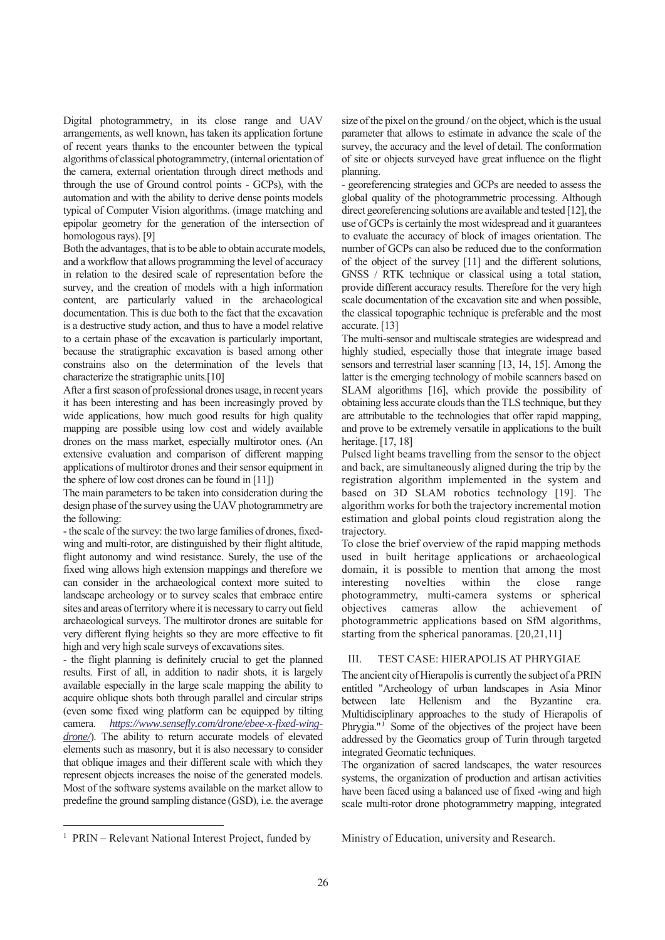Digital photogrammetry, in its close range and UAV arrangements, as well known, has taken its application fortune of recent years thanks to the encounter between the typical algorithms of classical photogrammetry, (internal orientation of the camera, external orientation through direct methods and through the use of Ground control points - GCPs), with the automation and with the ability to derive dense points models typical of Computer Vision algorithms. (image matching and epipolar geometry for the generation of the intersection of homologous rays). [9]

Both the advantages, that is to be able to obtain accurate models, and a workflow that allows programming the level of accuracy in relation to the desired scale of representation before the survey, and the creation of models with a high information content, are particularly valued in the archaeological documentation. This is due both to the fact that the excavation is a destructive study action, and thus to have a model relative to a certain phase of the excavation is particularly important, because the stratigraphic excavation is based among other constrains also on the determination of the levels that characterize the stratigraphic units.[10]

After a first season of professional drones usage, in recent years it has been interesting and has been increasingly proved by wide applications, how much good results for high quality mapping are possible using low cost and widely available drones on the mass market, especially multirotor ones. (An extensive evaluation and comparison of different mapping applications of multirotor drones and their sensor equipment in the sphere of low cost drones can be found in [11])

The main parameters to be taken into consideration during the design phase of the survey using the UAV photogrammetry are the following:

- the scale of the survey: the two large families of drones, fixedwing and multi-rotor, are distinguished by their flight altitude, flight autonomy and wind resistance. Surely, the use of the fixed wing allows high extension mappings and therefore we can consider in the archaeological context more suited to landscape archeology or to survey scales that embrace entire sites and areas of territory where it is necessary to carry out field archaeological surveys. The multirotor drones are suitable for very different flying heights so they are more effective to fit high and very high scale surveys of excavations sites.

- the flight planning is definitely crucial to get the planned results. First of all, in addition to nadir shots, it is largely available especially in the large scale mapping the ability to acquire oblique shots both through parallel and circular strips (even some fixed wing platform can be equipped by tilting camera. *https://www.sensefly.com/drone/ebee-x-fixed-wingdrone/*). The ability to return accurate models of elevated elements such as masonry, but it is also necessary to consider that oblique images and their different scale with which they represent objects increases the noise of the generated models. Most of the software systems available on the market allow to predefine the ground sampling distance (GSD), i.e. the average

size of the pixel on the ground / on the object, which is the usual parameter that allows to estimate in advance the scale of the survey, the accuracy and the level of detail. The conformation of site or objects surveyed have great influence on the flight planning.

- georeferencing strategies and GCPs are needed to assess the global quality of the photogrammetric processing. Although direct georeferencing solutions are available and tested [12], the use of GCPs is certainly the most widespread and it guarantees to evaluate the accuracy of block of images orientation. The number of GCPs can also be reduced due to the conformation of the object of the survey [11] and the different solutions, GNSS / RTK technique or classical using a total station, provide different accuracy results. Therefore for the very high scale documentation of the excavation site and when possible, the classical topographic technique is preferable and the most accurate. [13]

The multi-sensor and multiscale strategies are widespread and highly studied, especially those that integrate image based sensors and terrestrial laser scanning [13, 14, 15]. Among the latter is the emerging technology of mobile scanners based on SLAM algorithms [16], which provide the possibility of obtaining less accurate clouds than the TLS technique, but they are attributable to the technologies that offer rapid mapping, and prove to be extremely versatile in applications to the built heritage. [17, 18]

Pulsed light beams travelling from the sensor to the object and back, are simultaneously aligned during the trip by the registration algorithm implemented in the system and based on 3D SLAM robotics technology [19]. The algorithm works for both the trajectory incremental motion estimation and global points cloud registration along the trajectory.

To close the brief overview of the rapid mapping methods used in built heritage applications or archaeological domain, it is possible to mention that among the most interesting novelties within the close range photogrammetry, multi-camera systems or spherical objectives cameras allow the achievement of photogrammetric applications based on SfM algorithms, starting from the spherical panoramas. [20,21,11]

# III. TEST CASE: HIERAPOLIS AT PHRYGIAE

The ancient city of Hierapolis is currently the subject of a PRIN entitled "Archeology of urban landscapes in Asia Minor between late Hellenism and the Byzantine era. Multidisciplinary approaches to the study of Hierapolis of Phrygia."<sup>*1*</sup> Some of the objectives of the project have been addressed by the Geomatics group of Turin through targeted integrated Geomatic techniques.

The organization of sacred landscapes, the water resources systems, the organization of production and artisan activities have been faced using a balanced use of fixed -wing and high scale multi-rotor drone photogrammetry mapping, integrated

-

Ministry of Education, university and Research.

<sup>&</sup>lt;sup>1</sup> PRIN – Relevant National Interest Project, funded by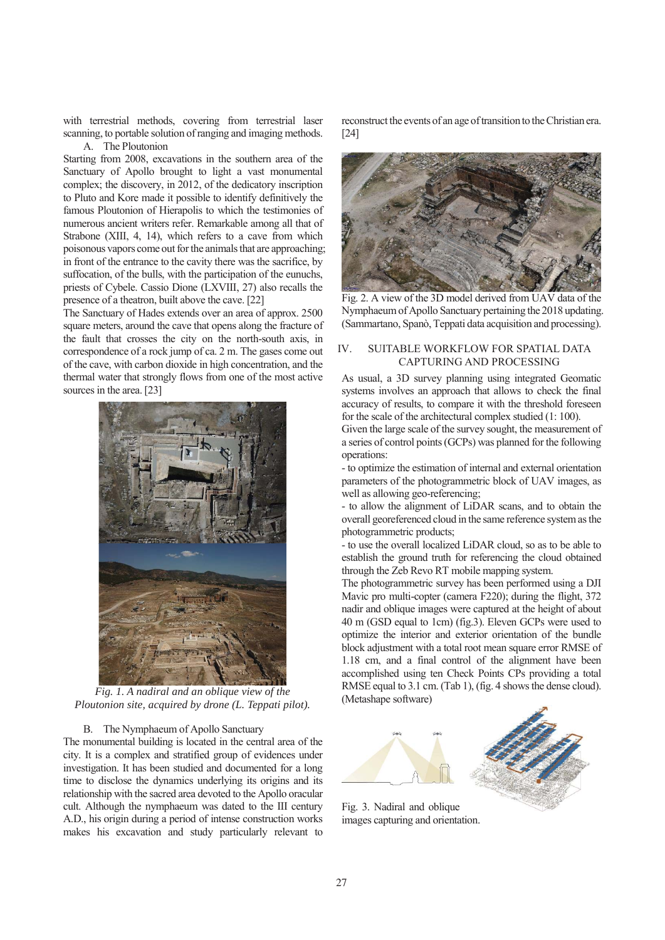with terrestrial methods, covering from terrestrial laser scanning, to portable solution of ranging and imaging methods. A. The Ploutonion

Starting from 2008, excavations in the southern area of the Sanctuary of Apollo brought to light a vast monumental complex; the discovery, in 2012, of the dedicatory inscription to Pluto and Kore made it possible to identify definitively the famous Ploutonion of Hierapolis to which the testimonies of numerous ancient writers refer. Remarkable among all that of Strabone (XIII, 4, 14), which refers to a cave from which poisonous vapors come out for the animals that are approaching; in front of the entrance to the cavity there was the sacrifice, by suffocation, of the bulls, with the participation of the eunuchs, priests of Cybele. Cassio Dione (LXVIII, 27) also recalls the presence of a theatron, built above the cave. [22]

The Sanctuary of Hades extends over an area of approx. 2500 square meters, around the cave that opens along the fracture of the fault that crosses the city on the north-south axis, in correspondence of a rock jump of ca. 2 m. The gases come out of the cave, with carbon dioxide in high concentration, and the thermal water that strongly flows from one of the most active sources in the area. [23]



*Fig. 1. A nadiral and an oblique view of the Ploutonion site, acquired by drone (L. Teppati pilot).*

#### B. The Nymphaeum of Apollo Sanctuary

The monumental building is located in the central area of the city. It is a complex and stratified group of evidences under investigation. It has been studied and documented for a long time to disclose the dynamics underlying its origins and its relationship with the sacred area devoted to the Apollo oracular cult. Although the nymphaeum was dated to the III century A.D., his origin during a period of intense construction works makes his excavation and study particularly relevant to

reconstruct the events of an age of transition to the Christian era. [24]



Fig. 2. A view of the 3D model derived from UAV data of the Nymphaeum of Apollo Sanctuary pertaining the 2018 updating. (Sammartano, Spanò, Teppati data acquisition and processing).

# IV. SUITABLE WORKFLOW FOR SPATIAL DATA CAPTURING AND PROCESSING

As usual, a 3D survey planning using integrated Geomatic systems involves an approach that allows to check the final accuracy of results, to compare it with the threshold foreseen for the scale of the architectural complex studied (1: 100).

Given the large scale of the survey sought, the measurement of a series of control points (GCPs) was planned for the following operations:

- to optimize the estimation of internal and external orientation parameters of the photogrammetric block of UAV images, as well as allowing geo-referencing;

- to allow the alignment of LiDAR scans, and to obtain the overall georeferenced cloud in the same reference system as the photogrammetric products;

- to use the overall localized LiDAR cloud, so as to be able to establish the ground truth for referencing the cloud obtained through the Zeb Revo RT mobile mapping system.

The photogrammetric survey has been performed using a DJI Mavic pro multi-copter (camera F220); during the flight, 372 nadir and oblique images were captured at the height of about 40 m (GSD equal to 1cm) (fig.3). Eleven GCPs were used to optimize the interior and exterior orientation of the bundle block adjustment with a total root mean square error RMSE of 1.18 cm, and a final control of the alignment have been accomplished using ten Check Points CPs providing a total RMSE equal to 3.1 cm. (Tab 1), (fig. 4 shows the dense cloud). (Metashape software)



Fig. 3. Nadiral and oblique images capturing and orientation.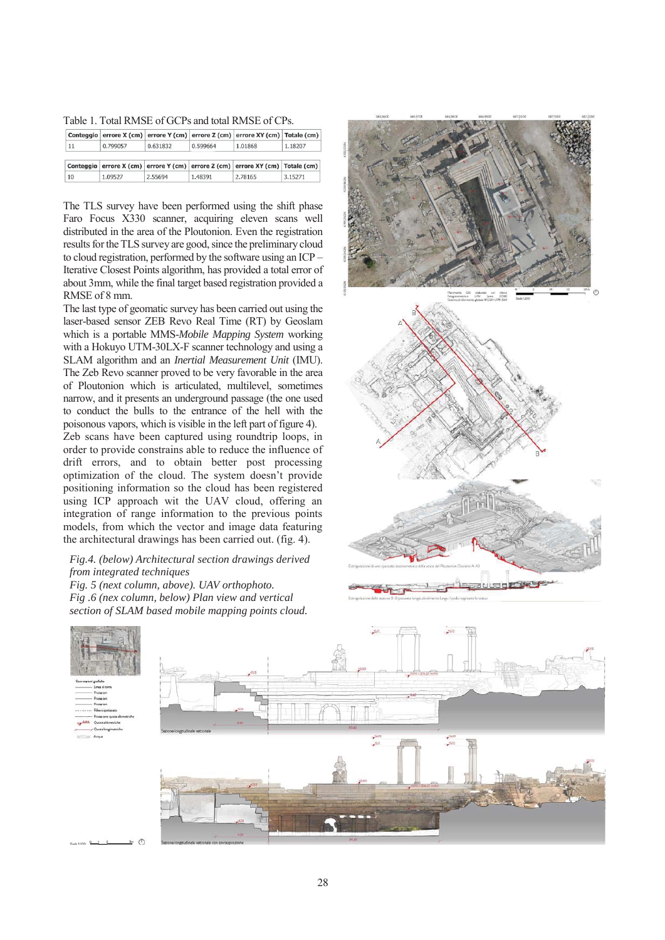Table 1. Total RMSE of GCPs and total RMSE of CPs.

|    |          |          |          | Conteggio   errore X (cm)   errore Y (cm)   errore Z (cm)   errore XY (cm)   Totale (cm) |         |
|----|----------|----------|----------|------------------------------------------------------------------------------------------|---------|
| 11 | 0.799057 | 0.631832 | 0.599664 | 1.01868                                                                                  | 1.18207 |
|    |          |          |          |                                                                                          |         |
|    |          |          |          | Conteggio errore X (cm) errore Y (cm) errore Z (cm) errore XY (cm) Totale (cm)           |         |

The TLS survey have been performed using the shift phase Faro Focus X330 scanner, acquiring eleven scans well distributed in the area of the Ploutonion. Even the registration results for the TLS survey are good, since the preliminary cloud to cloud registration, performed by the software using an ICP – Iterative Closest Points algorithm, has provided a total error of about 3mm, while the final target based registration provided a RMSE of 8 mm.

The last type of geomatic survey has been carried out using the laser-based sensor ZEB Revo Real Time (RT) by Geoslam which is a portable MMS-*Mobile Mapping System* working with a Hokuyo UTM-30LX-F scanner technology and using a SLAM algorithm and an *Inertial Measurement Unit* (IMU). The Zeb Revo scanner proved to be very favorable in the area of Ploutonion which is articulated, multilevel, sometimes narrow, and it presents an underground passage (the one used to conduct the bulls to the entrance of the hell with the poisonous vapors, which is visible in the left part of figure 4). Zeb scans have been captured using roundtrip loops, in order to provide constrains able to reduce the influence of drift errors, and to obtain better post processing optimization of the cloud. The system doesn't provide positioning information so the cloud has been registered using ICP approach wit the UAV cloud, offering an integration of range information to the previous points models, from which the vector and image data featuring

the architectural drawings has been carried out. (fig. 4). *Fig.4. (below) Architectural section drawings derived* 

*from integrated techniques*

*Fig. 5 (next column, above). UAV orthophoto. Fig .6 (nex column, below) Plan view and vertical section of SLAM based mobile mapping points cloud.* 





 $500$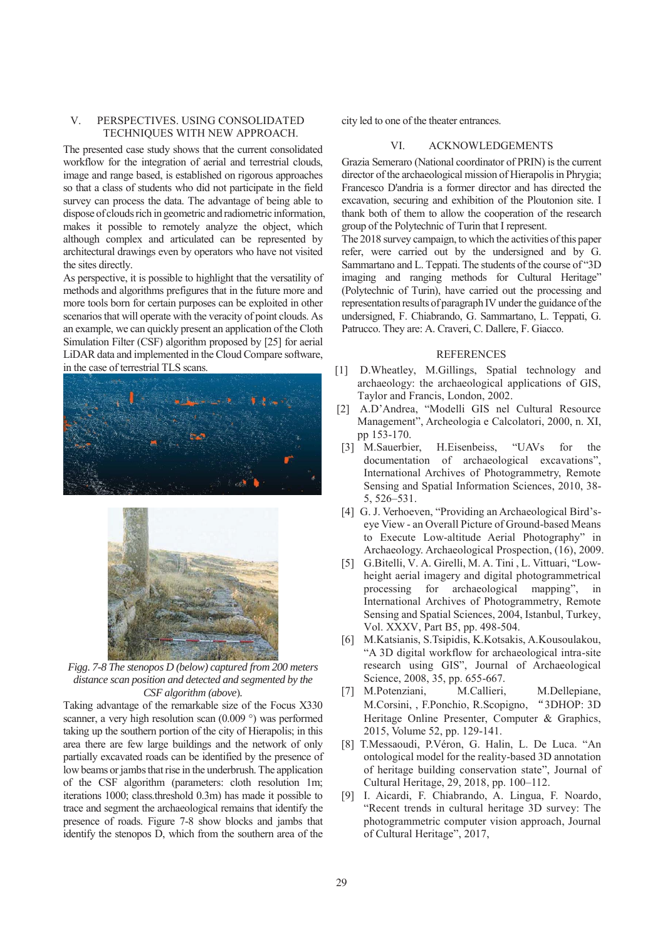### V. PERSPECTIVES. USING CONSOLIDATED TECHNIQUES WITH NEW APPROACH.

The presented case study shows that the current consolidated workflow for the integration of aerial and terrestrial clouds, image and range based, is established on rigorous approaches so that a class of students who did not participate in the field survey can process the data. The advantage of being able to dispose of clouds rich in geometric and radiometric information, makes it possible to remotely analyze the object, which although complex and articulated can be represented by architectural drawings even by operators who have not visited the sites directly.

As perspective, it is possible to highlight that the versatility of methods and algorithms prefigures that in the future more and more tools born for certain purposes can be exploited in other scenarios that will operate with the veracity of point clouds. As an example, we can quickly present an application of the Cloth Simulation Filter (CSF) algorithm proposed by [25] for aerial LiDAR data and implemented in the Cloud Compare software, in the case of terrestrial TLS scans.





*Figg. 7-8 The stenopos D (below) captured from 200 meters distance scan position and detected and segmented by the CSF algorithm (above*)*.* 

Taking advantage of the remarkable size of the Focus X330 scanner, a very high resolution scan (0.009 °) was performed taking up the southern portion of the city of Hierapolis; in this area there are few large buildings and the network of only partially excavated roads can be identified by the presence of low beams or jambs that rise in the underbrush. The application of the CSF algorithm (parameters: cloth resolution 1m; iterations 1000; class.threshold 0.3m) has made it possible to trace and segment the archaeological remains that identify the presence of roads. Figure 7-8 show blocks and jambs that identify the stenopos D, which from the southern area of the

city led to one of the theater entrances.

# VI. ACKNOWLEDGEMENTS

Grazia Semeraro (National coordinator of PRIN) is the current director of the archaeological mission of Hierapolis in Phrygia; Francesco D'andria is a former director and has directed the excavation, securing and exhibition of the Ploutonion site. I thank both of them to allow the cooperation of the research group of the Polytechnic of Turin that I represent.

The 2018 survey campaign, to which the activities of this paper refer, were carried out by the undersigned and by G. Sammartano and L. Teppati. The students of the course of "3D imaging and ranging methods for Cultural Heritage" (Polytechnic of Turin), have carried out the processing and representation results of paragraph IV under the guidance of the undersigned, F. Chiabrando, G. Sammartano, L. Teppati, G. Patrucco. They are: A. Craveri, C. Dallere, F. Giacco.

#### REFERENCES

- [1] D.Wheatley, M.Gillings, Spatial technology and archaeology: the archaeological applications of GIS, Taylor and Francis, London, 2002.
- [2] A.D'Andrea, "Modelli GIS nel Cultural Resource Management", Archeologia e Calcolatori, 2000, n. XI, pp 153-170.
- [3] M.Sauerbier, H.Eisenbeiss, "UAVs for the documentation of archaeological excavations", International Archives of Photogrammetry, Remote Sensing and Spatial Information Sciences, 2010, 38- 5, 526–531.
- [4] G. J. Verhoeven, "Providing an Archaeological Bird'seye View - an Overall Picture of Ground-based Means to Execute Low-altitude Aerial Photography" in Archaeology. Archaeological Prospection, (16), 2009.
- [5] G.Bitelli, V. A. Girelli, M. A. Tini , L. Vittuari, "Lowheight aerial imagery and digital photogrammetrical processing for archaeological mapping", in International Archives of Photogrammetry, Remote Sensing and Spatial Sciences, 2004, Istanbul, Turkey, Vol. XXXV, Part B5, pp. 498-504.
- [6] M.Katsianis, S.Tsipidis, K.Kotsakis, A.Kousoulakou, "A 3D digital workflow for archaeological intra-site research using GIS", Journal of Archaeological Science, 2008, 35, pp. 655-667.
- [7] M.Potenziani, M.Callieri, M.Dellepiane, M.Corsini, , F.Ponchio, R.Scopigno, "3DHOP: 3D Heritage Online Presenter, Computer & Graphics, 2015, Volume 52, pp. 129-141.
- [8] T.Messaoudi, P.Véron, G. Halin, L. De Luca. "An ontological model for the reality-based 3D annotation of heritage building conservation state", Journal of Cultural Heritage, 29, 2018, pp. 100–112.
- [9] I. Aicardi, F. Chiabrando, A. Lingua, F. Noardo, "Recent trends in cultural heritage 3D survey: The photogrammetric computer vision approach, Journal of Cultural Heritage", 2017,